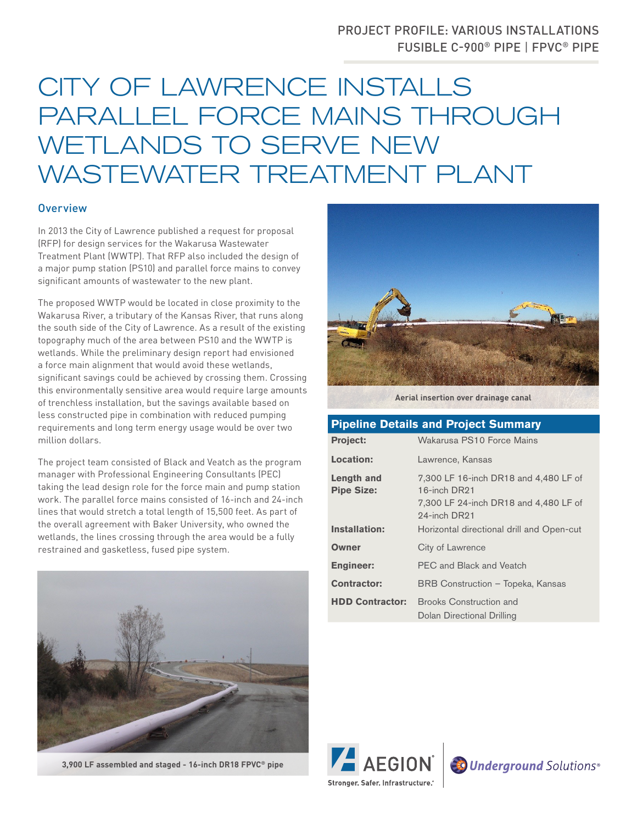## PROJECT PROFILE: VARIOUS INSTALLATIONS FUSIBLE C-900® PIPE | FPVC® PIPE

## CITY OF LAWRENCE INSTALLS PARALLEL FORCE MAINS THROUGH WETLANDS TO SERVE NEW WASTEWATER TREATMENT PLANT

## **Overview**

In 2013 the City of Lawrence published a request for proposal (RFP) for design services for the Wakarusa Wastewater Treatment Plant (WWTP). That RFP also included the design of a major pump station (PS10) and parallel force mains to convey significant amounts of wastewater to the new plant.

The proposed WWTP would be located in close proximity to the Wakarusa River, a tributary of the Kansas River, that runs along the south side of the City of Lawrence. As a result of the existing topography much of the area between PS10 and the WWTP is wetlands. While the preliminary design report had envisioned a force main alignment that would avoid these wetlands, significant savings could be achieved by crossing them. Crossing this environmentally sensitive area would require large amounts of trenchless installation, but the savings available based on less constructed pipe in combination with reduced pumping requirements and long term energy usage would be over two million dollars.

The project team consisted of Black and Veatch as the program manager with Professional Engineering Consultants (PEC) taking the lead design role for the force main and pump station work. The parallel force mains consisted of 16-inch and 24-inch lines that would stretch a total length of 15,500 feet. As part of the overall agreement with Baker University, who owned the wetlands, the lines crossing through the area would be a fully restrained and gasketless, fused pipe system.







**Aerial insertion over drainage canal**

## **Pipeline Details and Project Summary**

| <b>Project:</b>                 | Wakarusa PS10 Force Mains                                                                                      |
|---------------------------------|----------------------------------------------------------------------------------------------------------------|
| <b>Location:</b>                | Lawrence, Kansas                                                                                               |
| Length and<br><b>Pipe Size:</b> | 7,300 LF 16-inch DR18 and 4,480 LF of<br>16-inch DR21<br>7,300 LF 24-inch DR18 and 4,480 LF of<br>24-inch DR21 |
| Installation:                   | Horizontal directional drill and Open-cut                                                                      |
| <b>Owner</b>                    | City of Lawrence                                                                                               |
| <b>Engineer:</b>                | PEC and Black and Veatch                                                                                       |
| <b>Contractor:</b>              | BRB Construction - Topeka, Kansas                                                                              |
|                                 | <b>HDD Contractor:</b> Brooks Construction and<br>Dolan Directional Drilling                                   |